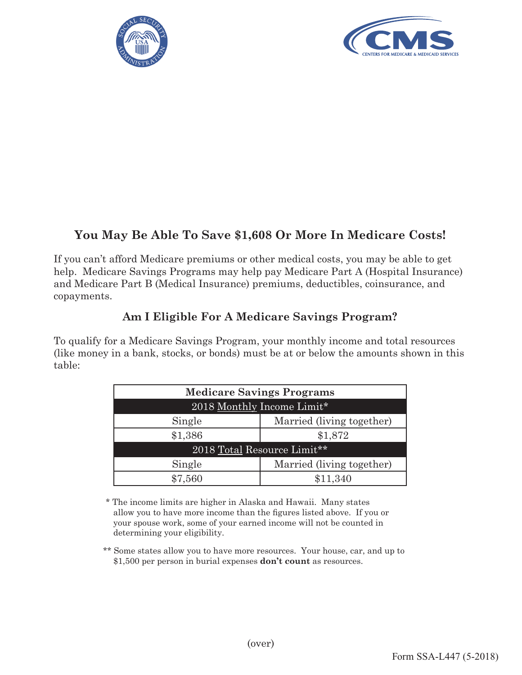



# **You May Be Able To Save \$1,608 Or More In Medicare Costs!**

If you can't afford Medicare premiums or other medical costs, you may be able to get help. Medicare Savings Programs may help pay Medicare Part A (Hospital Insurance) and Medicare Part B (Medical Insurance) premiums, deductibles, coinsurance, and copayments.

### **Am I Eligible For A Medicare Savings Program?**

To qualify for a Medicare Savings Program, your monthly income and total resources (like money in a bank, stocks, or bonds) must be at or below the amounts shown in this table:

| <b>Medicare Savings Programs</b> |                           |
|----------------------------------|---------------------------|
| 2018 Monthly Income Limit*       |                           |
| Single                           | Married (living together) |
| \$1,386                          | \$1,872                   |
| 2018 Total Resource Limit**      |                           |
| Single                           | Married (living together) |
| \$7,560                          | \$11,340                  |

\* The income limits are higher in Alaska and Hawaii. Many states allow you to have more income than the figures listed above. If you or your spouse work, some of your earned income will not be counted in determining your eligibility.

 \*\* Some states allow you to have more resources. Your house, car, and up to \$1,500 per person in burial expenses **don't count** as resources.